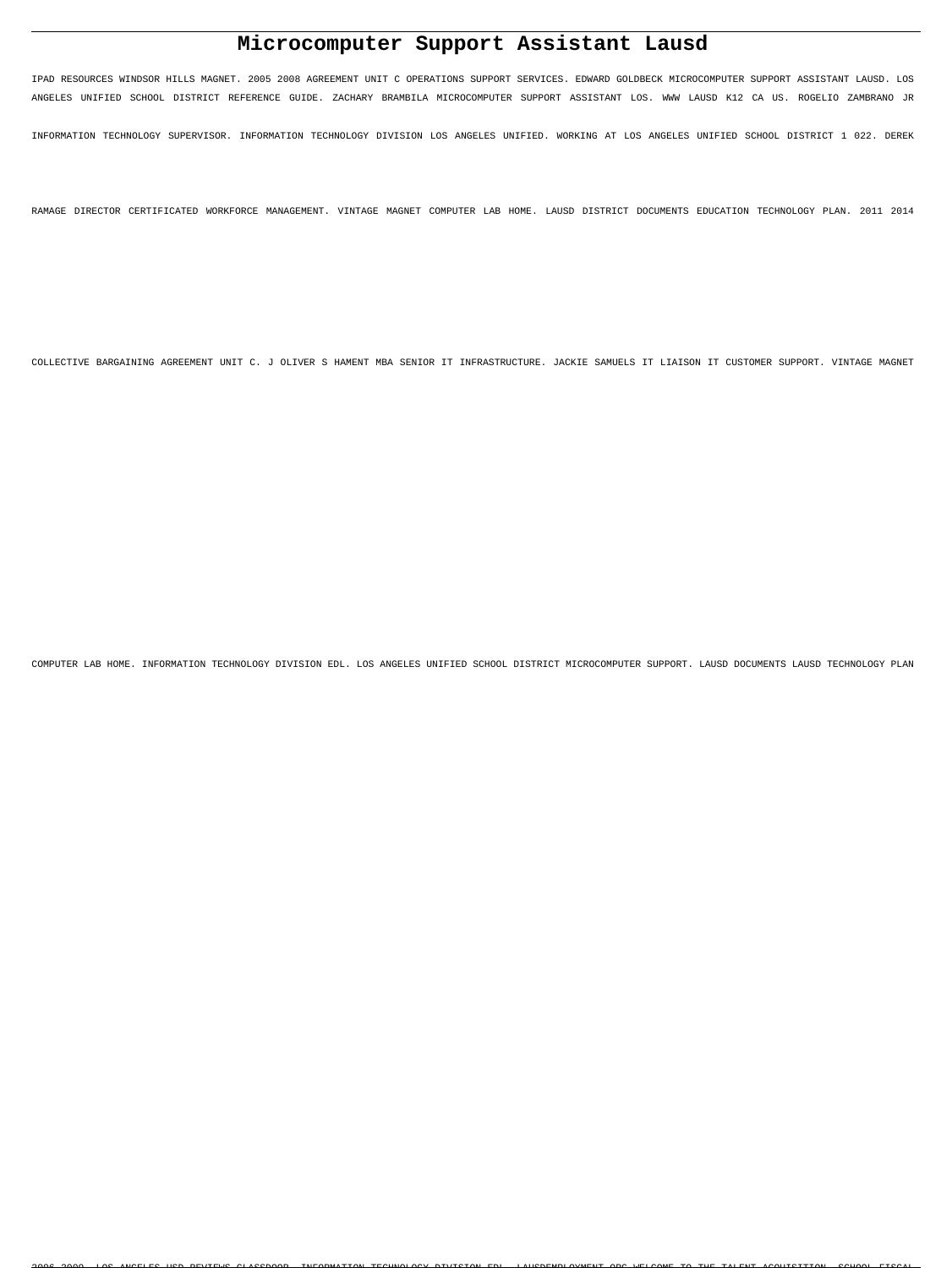# **Microcomputer Support Assistant Lausd**

IPAD RESOURCES WINDSOR HILLS MAGNET. 2005 2008 AGREEMENT UNIT C OPERATIONS SUPPORT SERVICES. EDWARD GOLDBECK MICROCOMPUTER SUPPORT ASSISTANT LAUSD. LOS ANGELES UNIFIED SCHOOL DISTRICT REFERENCE GUIDE. ZACHARY BRAMBILA MICROCOMPUTER SUPPORT ASSISTANT LOS. WWW LAUSD K12 CA US. ROGELIO ZAMBRANO JR

INFORMATION TECHNOLOGY SUPERVISOR. INFORMATION TECHNOLOGY DIVISION LOS ANGELES UNIFIED. WORKING AT LOS ANGELES UNIFIED SCHOOL DISTRICT 1 022. DEREK

RAMAGE DIRECTOR CERTIFICATED WORKFORCE MANAGEMENT. VINTAGE MAGNET COMPUTER LAB HOME. LAUSD DISTRICT DOCUMENTS EDUCATION TECHNOLOGY PLAN. 2011 2014

COLLECTIVE BARGAINING AGREEMENT UNIT C. J OLIVER S HAMENT MBA SENIOR IT INFRASTRUCTURE. JACKIE SAMUELS IT LIAISON IT CUSTOMER SUPPORT. VINTAGE MAGNET

COMPUTER LAB HOME. INFORMATION TECHNOLOGY DIVISION EDL. LOS ANGELES UNIFIED SCHOOL DISTRICT MICROCOMPUTER SUPPORT. LAUSD DOCUMENTS LAUSD TECHNOLOGY PLAN

2006 2009. LOG ANGELES HOD DEVIEWS GLASSDOOD. INFORMATION TECHNOLOGY DIVISION EDI. LAHSDEMPLOMATIVE OR WELCOME TO THE TALENT ACQUISITION. SCHOOL FISCAL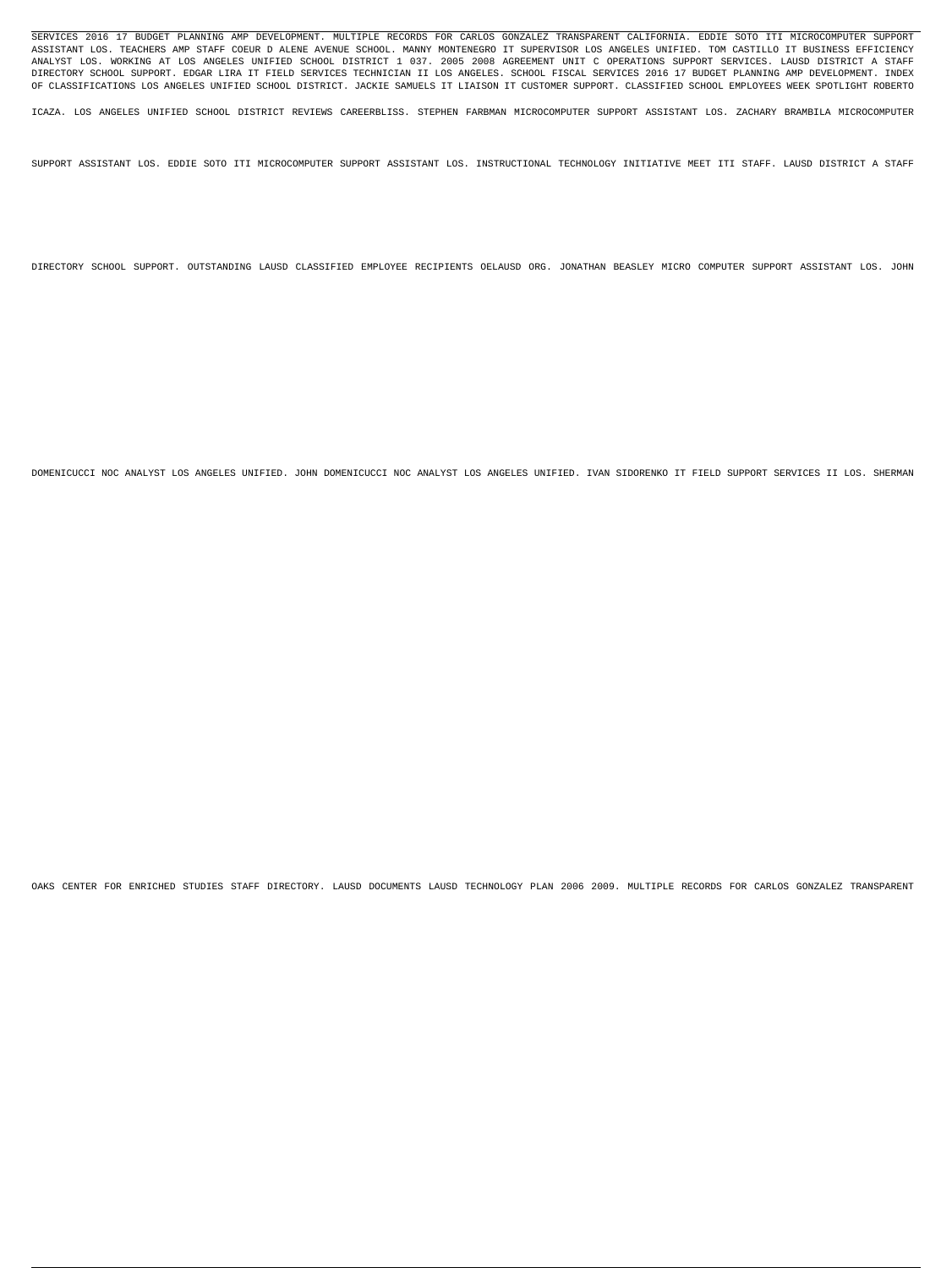SERVICES 2016 17 BUDGET PLANNING AMP DEVELOPMENT. MULTIPLE RECORDS FOR CARLOS GONZALEZ TRANSPARENT CALIFORNIA. EDDIE SOTO ITI MICROCOMPUTER SUPPORT ASSISTANT LOS. TEACHERS AMP STAFF COEUR D ALENE AVENUE SCHOOL. MANNY MONTENEGRO IT SUPERVISOR LOS ANGELES UNIFIED. TOM CASTILLO IT BUSINESS EFFICIENCY ANALYST LOS. WORKING AT LOS ANGELES UNIFIED SCHOOL DISTRICT 1 037. 2005 2008 AGREEMENT UNIT C OPERATIONS SUPPORT SERVICES. LAUSD DISTRICT A STAFF DIRECTORY SCHOOL SUPPORT. EDGAR LIRA IT FIELD SERVICES TECHNICIAN II LOS ANGELES. SCHOOL FISCAL SERVICES 2016 17 BUDGET PLANNING AMP DEVELOPMENT. INDEX OF CLASSIFICATIONS LOS ANGELES UNIFIED SCHOOL DISTRICT. JACKIE SAMUELS IT LIAISON IT CUSTOMER SUPPORT. CLASSIFIED SCHOOL EMPLOYEES WEEK SPOTLIGHT ROBERTO

ICAZA. LOS ANGELES UNIFIED SCHOOL DISTRICT REVIEWS CAREERBLISS. STEPHEN FARBMAN MICROCOMPUTER SUPPORT ASSISTANT LOS. ZACHARY BRAMBILA MICROCOMPUTER

SUPPORT ASSISTANT LOS. EDDIE SOTO ITI MICROCOMPUTER SUPPORT ASSISTANT LOS. INSTRUCTIONAL TECHNOLOGY INITIATIVE MEET ITI STAFF. LAUSD DISTRICT A STAFF

DIRECTORY SCHOOL SUPPORT. OUTSTANDING LAUSD CLASSIFIED EMPLOYEE RECIPIENTS OELAUSD ORG. JONATHAN BEASLEY MICRO COMPUTER SUPPORT ASSISTANT LOS. JOHN

DOMENICUCCI NOC ANALYST LOS ANGELES UNIFIED. JOHN DOMENICUCCI NOC ANALYST LOS ANGELES UNIFIED. IVAN SIDORENKO IT FIELD SUPPORT SERVICES II LOS. SHERMAN

OAKS CENTER FOR ENRICHED STUDIES STAFF DIRECTORY. LAUSD DOCUMENTS LAUSD TECHNOLOGY PLAN 2006 2009. MULTIPLE RECORDS FOR CARLOS GONZALEZ TRANSPARENT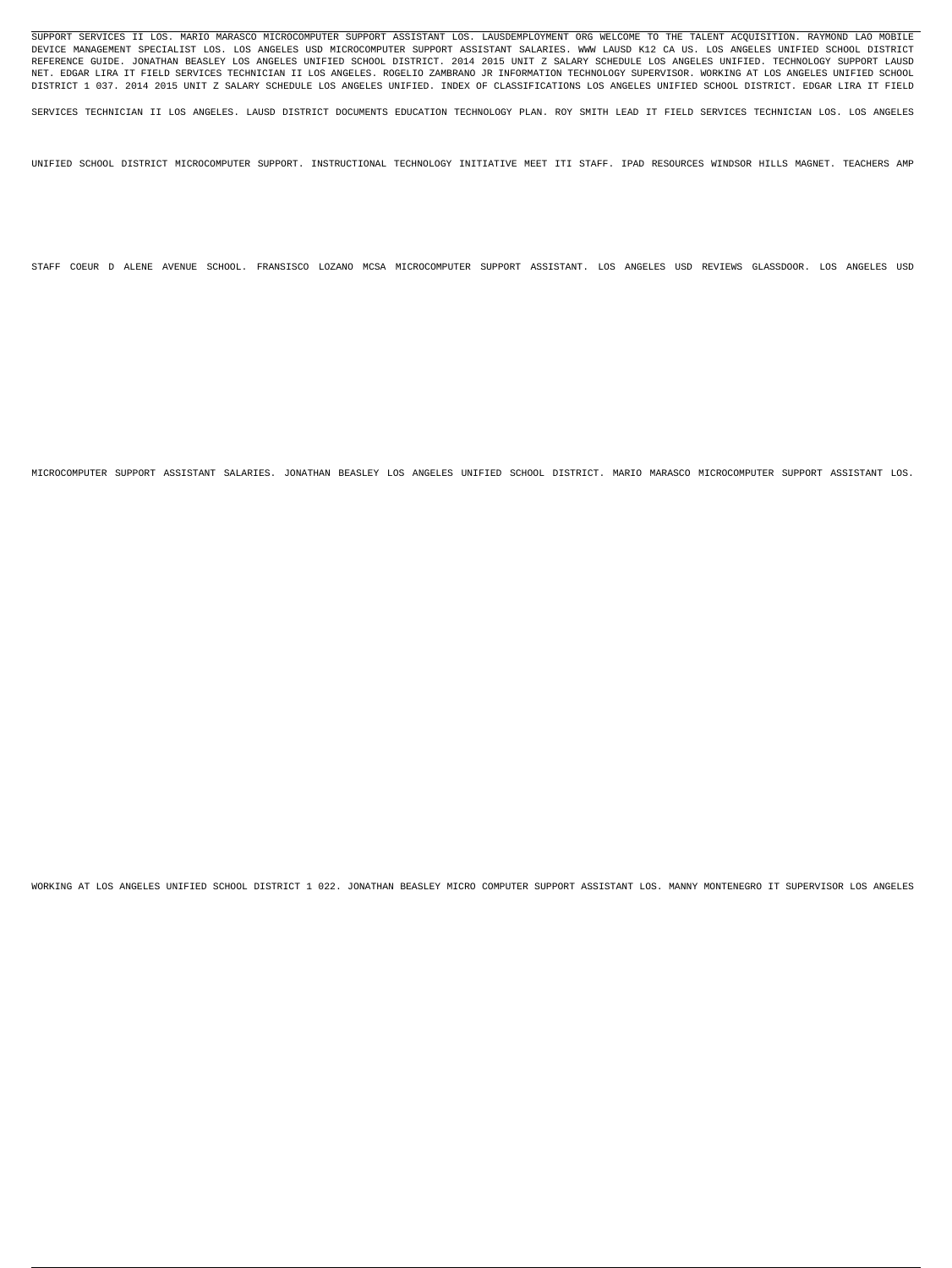SUPPORT SERVICES II LOS. MARIO MARASCO MICROCOMPUTER SUPPORT ASSISTANT LOS. LAUSDEMPLOYMENT ORG WELCOME TO THE TALENT ACQUISITION. RAYMOND LAO MOBILE DEVICE MANAGEMENT SPECIALIST LOS. LOS ANGELES USD MICROCOMPUTER SUPPORT ASSISTANT SALARIES. WWW LAUSD K12 CA US. LOS ANGELES UNIFIED SCHOOL DISTRICT REFERENCE GUIDE. JONATHAN BEASLEY LOS ANGELES UNIFIED SCHOOL DISTRICT. 2014 2015 UNIT Z SALARY SCHEDULE LOS ANGELES UNIFIED. TECHNOLOGY SUPPORT LAUSD NET. EDGAR LIRA IT FIELD SERVICES TECHNICIAN II LOS ANGELES. ROGELIO ZAMBRANO JR INFORMATION TECHNOLOGY SUPERVISOR. WORKING AT LOS ANGELES UNIFIED SCHOOL DISTRICT 1 037. 2014 2015 UNIT Z SALARY SCHEDULE LOS ANGELES UNIFIED. INDEX OF CLASSIFICATIONS LOS ANGELES UNIFIED SCHOOL DISTRICT. EDGAR LIRA IT FIELD

SERVICES TECHNICIAN II LOS ANGELES. LAUSD DISTRICT DOCUMENTS EDUCATION TECHNOLOGY PLAN. ROY SMITH LEAD IT FIELD SERVICES TECHNICIAN LOS. LOS ANGELES

UNIFIED SCHOOL DISTRICT MICROCOMPUTER SUPPORT. INSTRUCTIONAL TECHNOLOGY INITIATIVE MEET ITI STAFF. IPAD RESOURCES WINDSOR HILLS MAGNET. TEACHERS AMP

STAFF COEUR D ALENE AVENUE SCHOOL. FRANSISCO LOZANO MCSA MICROCOMPUTER SUPPORT ASSISTANT. LOS ANGELES USD REVIEWS GLASSDOOR. LOS ANGELES USD

MICROCOMPUTER SUPPORT ASSISTANT SALARIES. JONATHAN BEASLEY LOS ANGELES UNIFIED SCHOOL DISTRICT. MARIO MARASCO MICROCOMPUTER SUPPORT ASSISTANT LOS.

WORKING AT LOS ANGELES UNIFIED SCHOOL DISTRICT 1 022. JONATHAN BEASLEY MICRO COMPUTER SUPPORT ASSISTANT LOS. MANNY MONTENEGRO IT SUPERVISOR LOS ANGELES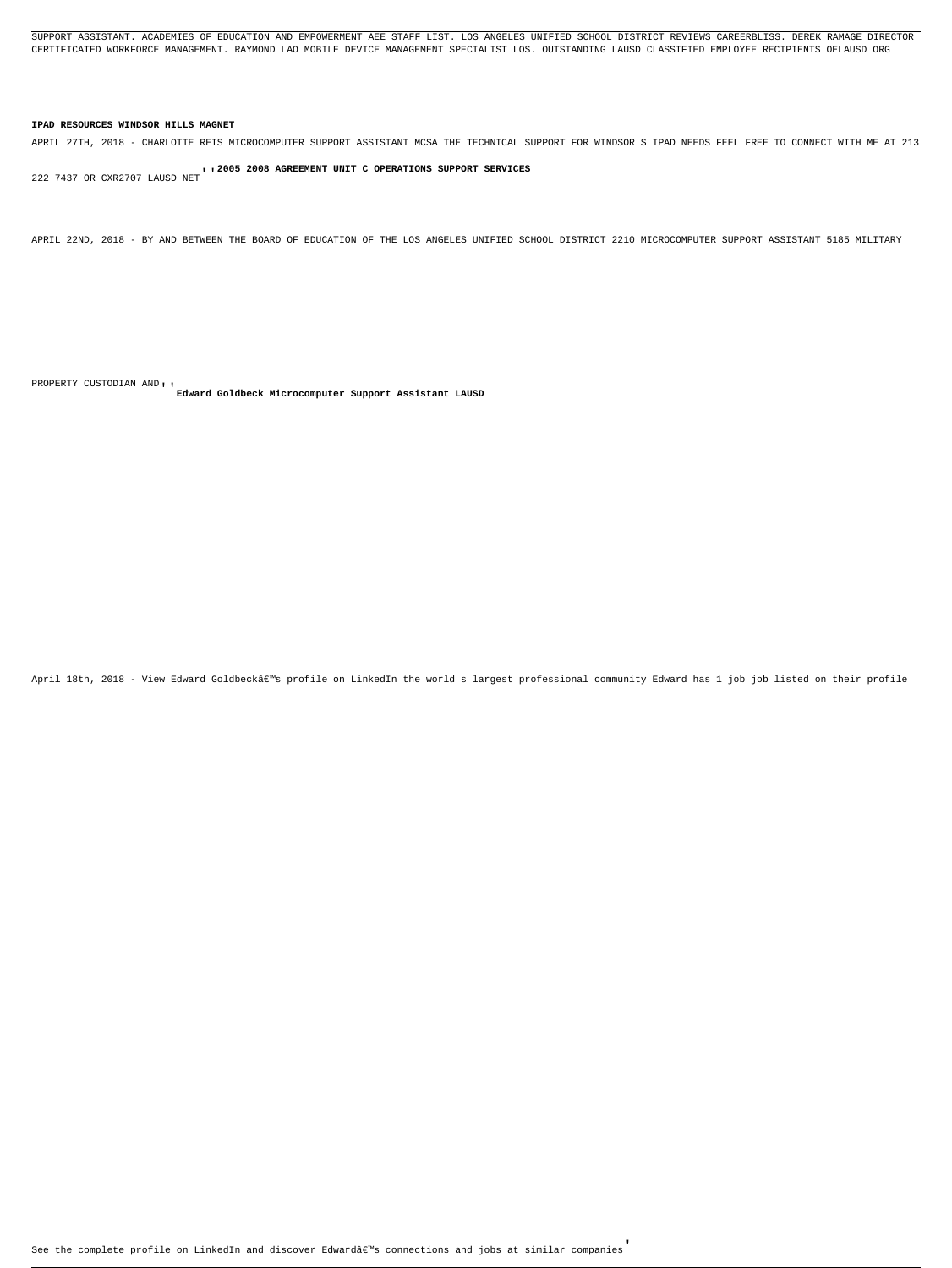SUPPORT ASSISTANT. ACADEMIES OF EDUCATION AND EMPOWERMENT AEE STAFF LIST. LOS ANGELES UNIFIED SCHOOL DISTRICT REVIEWS CAREERBLISS. DEREK RAMAGE DIRECTOR CERTIFICATED WORKFORCE MANAGEMENT. RAYMOND LAO MOBILE DEVICE MANAGEMENT SPECIALIST LOS. OUTSTANDING LAUSD CLASSIFIED EMPLOYEE RECIPIENTS OELAUSD ORG

### **IPAD RESOURCES WINDSOR HILLS MAGNET**

APRIL 27TH, 2018 - CHARLOTTE REIS MICROCOMPUTER SUPPORT ASSISTANT MCSA THE TECHNICAL SUPPORT FOR WINDSOR S IPAD NEEDS FEEL FREE TO CONNECT WITH ME AT 213

222 7437 OR CXR2707 LAUSD NET''**2005 2008 AGREEMENT UNIT C OPERATIONS SUPPORT SERVICES**

APRIL 22ND, 2018 - BY AND BETWEEN THE BOARD OF EDUCATION OF THE LOS ANGELES UNIFIED SCHOOL DISTRICT 2210 MICROCOMPUTER SUPPORT ASSISTANT 5185 MILITARY

PROPERTY CUSTODIAN AND''**Edward Goldbeck Microcomputer Support Assistant LAUSD**

April 18th, 2018 - View Edward Goldbeck's profile on LinkedIn the world s largest professional community Edward has 1 job job listed on their profile

See the complete profile on LinkedIn and discover Edward's connections and jobs at similar companies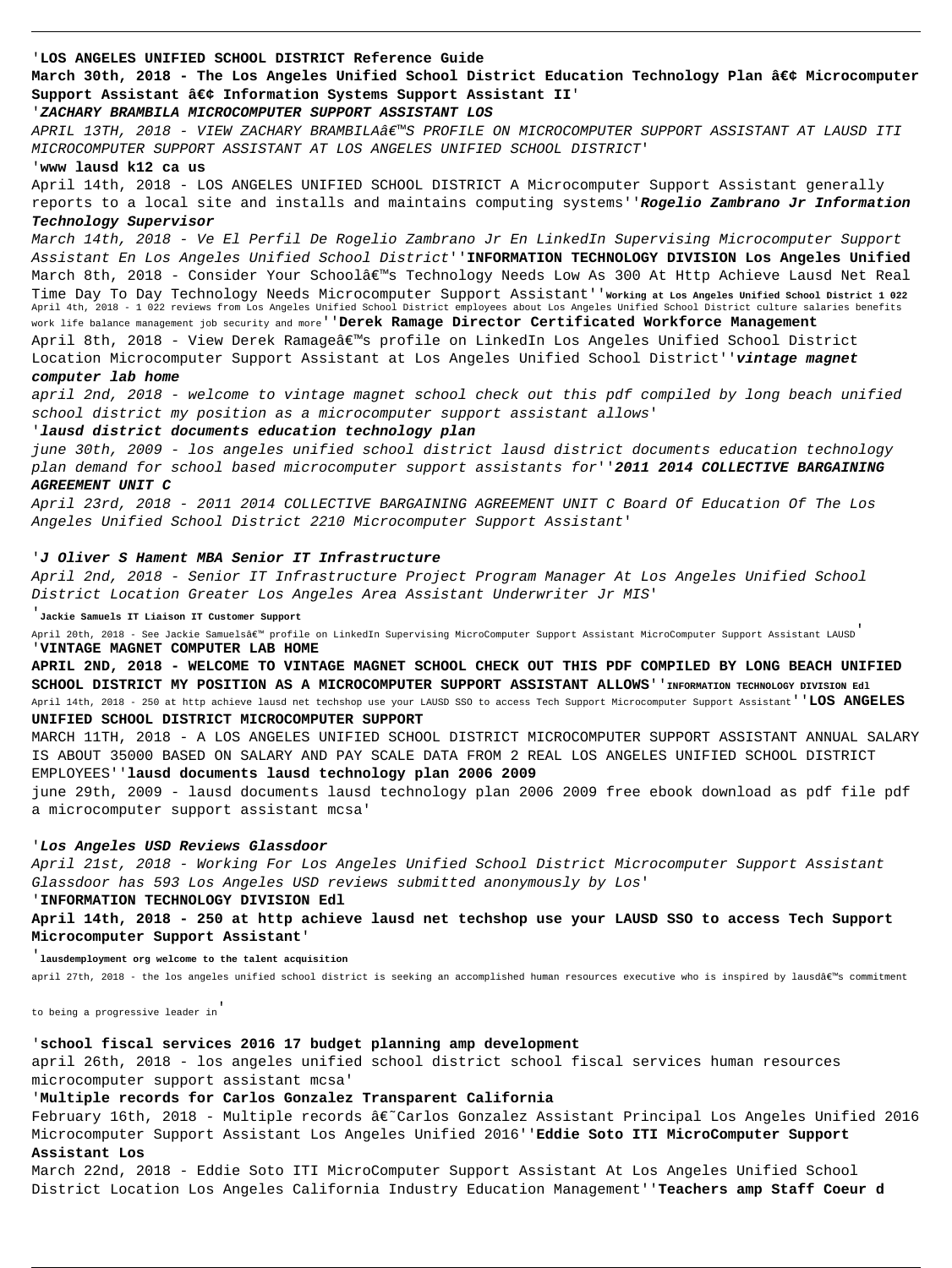### '**LOS ANGELES UNIFIED SCHOOL DISTRICT Reference Guide**

March 30th, 2018 - The Los Angeles Unified School District Education Technology Plan • Microcomputer **Support Assistant • Information Systems Support Assistant II**'

APRIL 13TH, 2018 - VIEW ZACHARY BRAMBILA'S PROFILE ON MICROCOMPUTER SUPPORT ASSISTANT AT LAUSD ITI MICROCOMPUTER SUPPORT ASSISTANT AT LOS ANGELES UNIFIED SCHOOL DISTRICT'

### '**ZACHARY BRAMBILA MICROCOMPUTER SUPPORT ASSISTANT LOS**

### '**www lausd k12 ca us**

April 14th, 2018 - LOS ANGELES UNIFIED SCHOOL DISTRICT A Microcomputer Support Assistant generally reports to a local site and installs and maintains computing systems''**Rogelio Zambrano Jr Information**

### **Technology Supervisor**

March 14th, 2018 - Ve El Perfil De Rogelio Zambrano Jr En LinkedIn Supervising Microcomputer Support Assistant En Los Angeles Unified School District''**INFORMATION TECHNOLOGY DIVISION Los Angeles Unified** March 8th, 2018 - Consider Your School's Technology Needs Low As 300 At Http Achieve Lausd Net Real Time Day To Day Technology Needs Microcomputer Support Assistant''**Working at Los Angeles Unified School District 1 022** April 4th, 2018 - 1 022 reviews from Los Angeles Unified School District employees about Los Angeles Unified School District culture salaries benefits work life balance management job security and more''**Derek Ramage Director Certificated Workforce Management** April 8th, 2018 - View Derek Ramage's profile on LinkedIn Los Angeles Unified School District Location Microcomputer Support Assistant at Los Angeles Unified School District''**vintage magnet**

April 20th, 2018 - See Jackie Samuels' profile on LinkedIn Supervising MicroComputer Support Assistant Support Assistant LAUSD<sup>'</sup> '**VINTAGE MAGNET COMPUTER LAB HOME**

### **computer lab home**

april 2nd, 2018 - welcome to vintage magnet school check out this pdf compiled by long beach unified school district my position as a microcomputer support assistant allows'

### '**lausd district documents education technology plan**

june 30th, 2009 - los angeles unified school district lausd district documents education technology plan demand for school based microcomputer support assistants for''**2011 2014 COLLECTIVE BARGAINING AGREEMENT UNIT C**

April 23rd, 2018 - 2011 2014 COLLECTIVE BARGAINING AGREEMENT UNIT C Board Of Education Of The Los Angeles Unified School District 2210 Microcomputer Support Assistant'

### '**J Oliver S Hament MBA Senior IT Infrastructure**

February 16th, 2018 - Multiple records â€~Carlos Gonzalez Assistant Principal Los Angeles Unified 2016 Microcomputer Support Assistant Los Angeles Unified 2016''**Eddie Soto ITI MicroComputer Support Assistant Los**

April 2nd, 2018 - Senior IT Infrastructure Project Program Manager At Los Angeles Unified School District Location Greater Los Angeles Area Assistant Underwriter Jr MIS'

'**Jackie Samuels IT Liaison IT Customer Support**

**APRIL 2ND, 2018 - WELCOME TO VINTAGE MAGNET SCHOOL CHECK OUT THIS PDF COMPILED BY LONG BEACH UNIFIED SCHOOL DISTRICT MY POSITION AS A MICROCOMPUTER SUPPORT ASSISTANT ALLOWS**''**INFORMATION TECHNOLOGY DIVISION Edl** April 14th, 2018 - 250 at http achieve lausd net techshop use your LAUSD SSO to access Tech Support Microcomputer Support Assistant''**LOS ANGELES**

### **UNIFIED SCHOOL DISTRICT MICROCOMPUTER SUPPORT**

MARCH 11TH, 2018 - A LOS ANGELES UNIFIED SCHOOL DISTRICT MICROCOMPUTER SUPPORT ASSISTANT ANNUAL SALARY IS ABOUT 35000 BASED ON SALARY AND PAY SCALE DATA FROM 2 REAL LOS ANGELES UNIFIED SCHOOL DISTRICT EMPLOYEES''**lausd documents lausd technology plan 2006 2009**

june 29th, 2009 - lausd documents lausd technology plan 2006 2009 free ebook download as pdf file pdf a microcomputer support assistant mcsa'

### '**Los Angeles USD Reviews Glassdoor**

April 21st, 2018 - Working For Los Angeles Unified School District Microcomputer Support Assistant Glassdoor has 593 Los Angeles USD reviews submitted anonymously by Los'

### '**INFORMATION TECHNOLOGY DIVISION Edl**

**April 14th, 2018 - 250 at http achieve lausd net techshop use your LAUSD SSO to access Tech Support Microcomputer Support Assistant**'

### '**lausdemployment org welcome to the talent acquisition**

april 27th, 2018 - the los angeles unified school district is seeking an accomplished human resources executive who is inspired by lausd's commitment

# '**school fiscal services 2016 17 budget planning amp development**

april 26th, 2018 - los angeles unified school district school fiscal services human resources microcomputer support assistant mcsa'

# '**Multiple records for Carlos Gonzalez Transparent California**

March 22nd, 2018 - Eddie Soto ITI MicroComputer Support Assistant At Los Angeles Unified School District Location Los Angeles California Industry Education Management''**Teachers amp Staff Coeur d**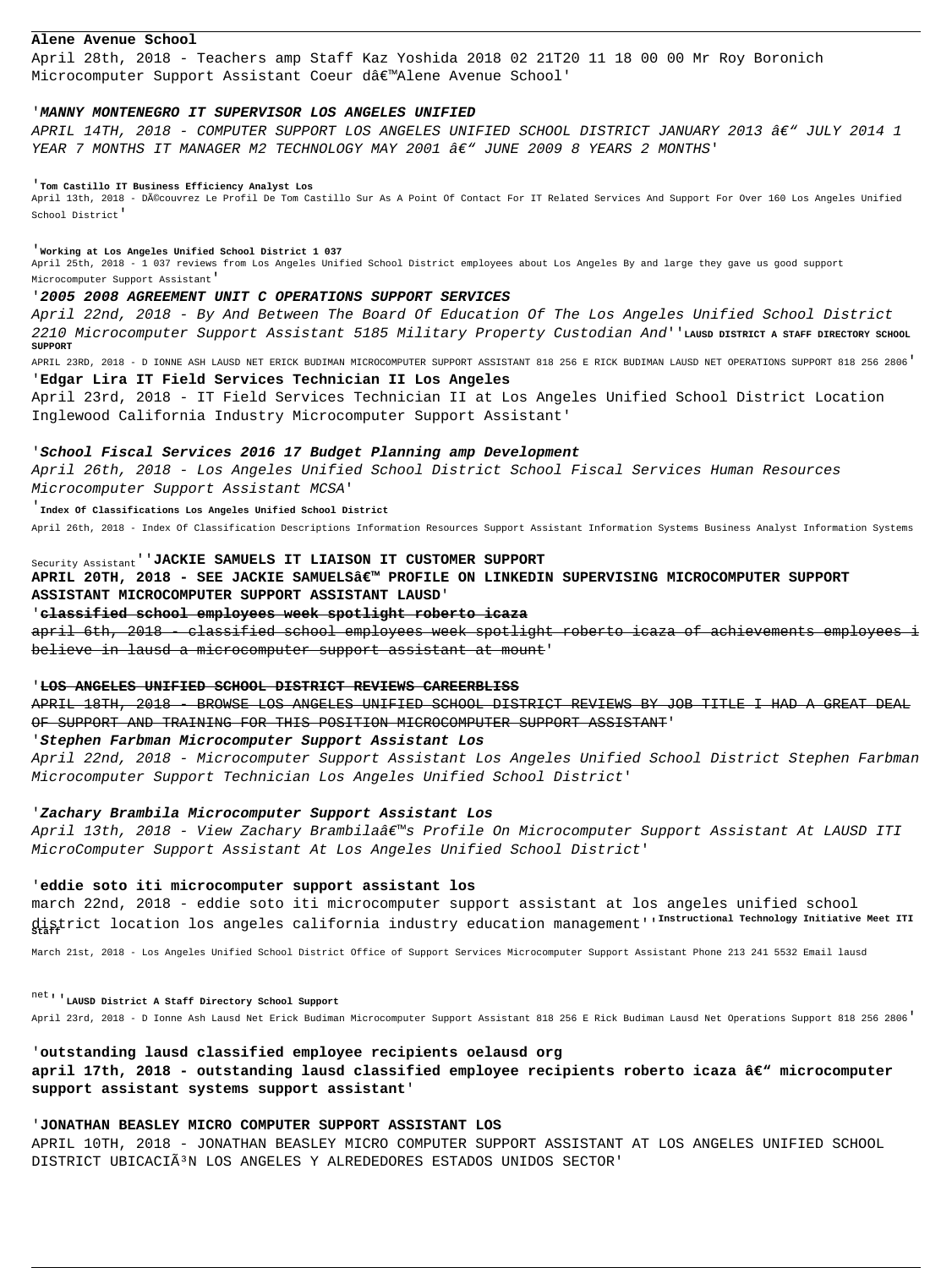### **Alene Avenue School**

April 28th, 2018 - Teachers amp Staff Kaz Yoshida 2018 02 21T20 11 18 00 00 Mr Roy Boronich Microcomputer Support Assistant Coeur d'Alene Avenue School'

### '**MANNY MONTENEGRO IT SUPERVISOR LOS ANGELES UNIFIED**

APRIL 14TH, 2018 - COMPUTER SUPPORT LOS ANGELES UNIFIED SCHOOL DISTRICT JANUARY 2013 â $\epsilon$ " JULY 2014 1 YEAR 7 MONTHS IT MANAGER M2 TECHNOLOGY MAY 2001 â $\epsilon$ " JUNE 2009 8 YEARS 2 MONTHS'

April 13th, 2018 - Découvrez Le Profil De Tom Castillo Sur As A Point Of Contact For IT Related Services And Support For Over 160 Los Angeles Unified School District'

### '**Tom Castillo IT Business Efficiency Analyst Los**

'**Working at Los Angeles Unified School District 1 037**

April 25th, 2018 - 1 037 reviews from Los Angeles Unified School District employees about Los Angeles By and large they gave us good support Microcomputer Support Assistant'

### '**2005 2008 AGREEMENT UNIT C OPERATIONS SUPPORT SERVICES**

April 22nd, 2018 - By And Between The Board Of Education Of The Los Angeles Unified School District 2210 Microcomputer Support Assistant 5185 Military Property Custodian And''**LAUSD DISTRICT A STAFF DIRECTORY SCHOOL SUPPORT**

APRIL 20TH, 2018 - SEE JACKIE SAMUELS' PROFILE ON LINKEDIN SUPERVISING MICROCOMPUTER SUPPORT **ASSISTANT MICROCOMPUTER SUPPORT ASSISTANT LAUSD**'

april 6th, 2018 - classified school employees week spotlight roberto icaza of achievements employees i believe in lausd a microcomputer support assistant at mount'

APRIL 23RD, 2018 - D IONNE ASH LAUSD NET ERICK BUDIMAN MICROCOMPUTER SUPPORT ASSISTANT 818 256 E RICK BUDIMAN LAUSD NET OPERATIONS SUPPORT 818 256 2806'

### '**Edgar Lira IT Field Services Technician II Los Angeles**

April 23rd, 2018 - IT Field Services Technician II at Los Angeles Unified School District Location Inglewood California Industry Microcomputer Support Assistant'

April 13th, 2018 - View Zachary Brambila's Profile On Microcomputer Support Assistant At LAUSD ITI MicroComputer Support Assistant At Los Angeles Unified School District'

### '**School Fiscal Services 2016 17 Budget Planning amp Development**

April 26th, 2018 - Los Angeles Unified School District School Fiscal Services Human Resources Microcomputer Support Assistant MCSA'

### '**Index Of Classifications Los Angeles Unified School District**

April 26th, 2018 - Index Of Classification Descriptions Information Resources Support Assistant Information Systems Business Analyst Information Systems

'**JONATHAN BEASLEY MICRO COMPUTER SUPPORT ASSISTANT LOS** APRIL 10TH, 2018 - JONATHAN BEASLEY MICRO COMPUTER SUPPORT ASSISTANT AT LOS ANGELES UNIFIED SCHOOL DISTRICT UBICACIÃ<sup>3</sup>N LOS ANGELES Y ALREDEDORES ESTADOS UNIDOS SECTOR'

# Security Assistant''**JACKIE SAMUELS IT LIAISON IT CUSTOMER SUPPORT**

### '**classified school employees week spotlight roberto icaza**

### '**LOS ANGELES UNIFIED SCHOOL DISTRICT REVIEWS CAREERBLISS**

APRIL 18TH, 2018 - BROWSE LOS ANGELES UNIFIED SCHOOL DISTRICT REVIEWS BY JOB TITLE I HAD A GREAT DEAL OF SUPPORT AND TRAINING FOR THIS POSITION MICROCOMPUTER SUPPORT ASSISTANT'

### '**Stephen Farbman Microcomputer Support Assistant Los**

April 22nd, 2018 - Microcomputer Support Assistant Los Angeles Unified School District Stephen Farbman Microcomputer Support Technician Los Angeles Unified School District'

### '**Zachary Brambila Microcomputer Support Assistant Los**

### '**eddie soto iti microcomputer support assistant los**

march 22nd, 2018 - eddie soto iti microcomputer support assistant at los angeles unified school district location los angeles california industry education management''**Instructional Technology Initiative Meet ITI Staff**

March 21st, 2018 - Los Angeles Unified School District Office of Support Services Microcomputer Support Assistant Phone 213 241 5532 Email lausd

April 23rd, 2018 - D Ionne Ash Lausd Net Erick Budiman Microcomputer Support Assistant 818 256 E Rick Budiman Lausd Net Operations Support 818 256 2806'

'**outstanding lausd classified employee recipients oelausd org** april 17th, 2018 - outstanding lausd classified employee recipients roberto icaza â€<sup>w</sup> microcomputer **support assistant systems support assistant**'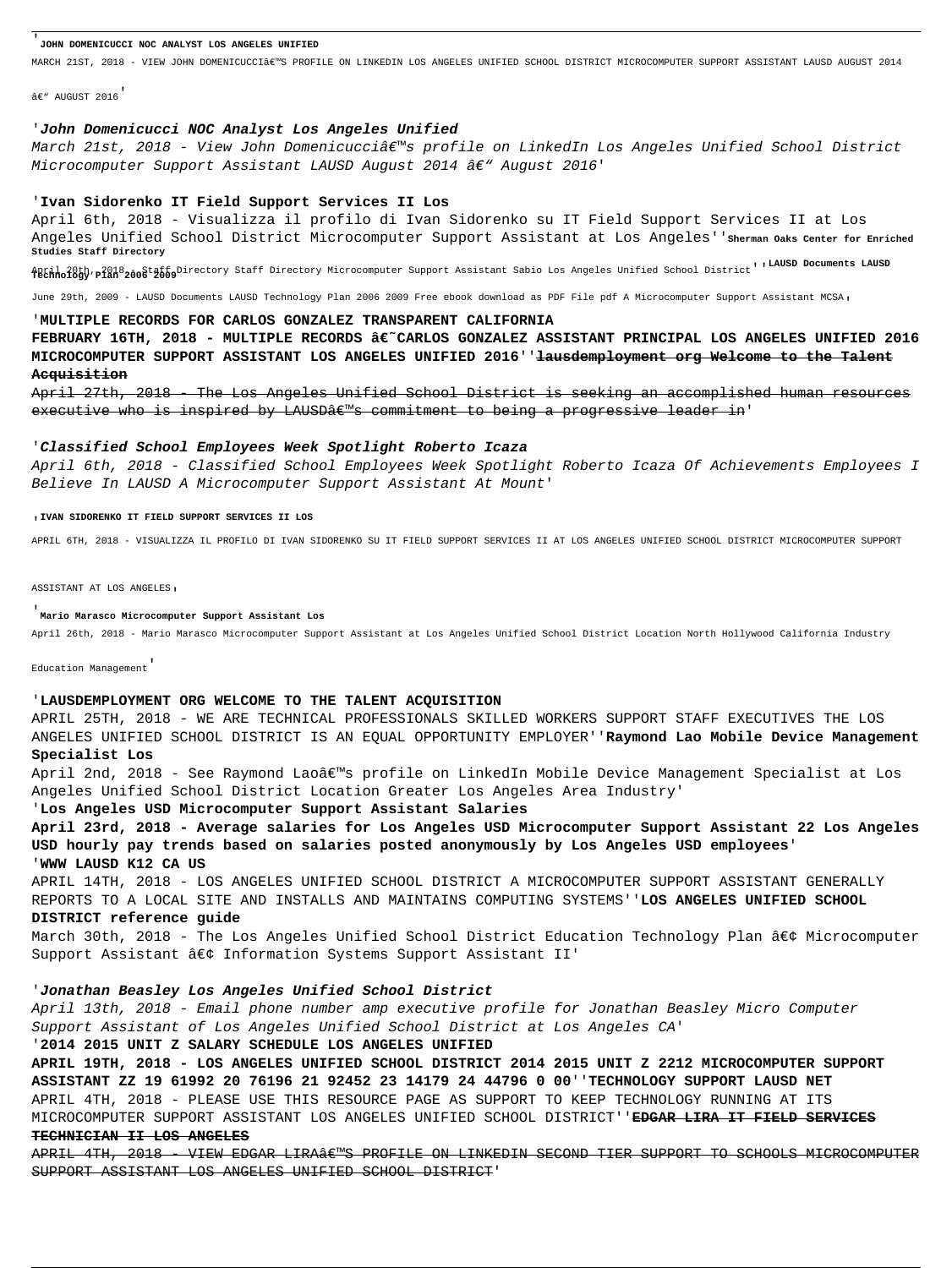### '**JOHN DOMENICUCCI NOC ANALYST LOS ANGELES UNIFIED**

MARCH 21ST, 2018 - VIEW JOHN DOMENICUCCI'S PROFILE ON LINKEDIN LOS ANGELES UNIFIED SCHOOL DISTRICT MICROCOMPUTER SUPPORT ASSISTANT LAUSD AUGUST 2014

 $â$  $e$ " AUGUST 2016

### '**John Domenicucci NOC Analyst Los Angeles Unified**

March 21st, 2018 - View John Domenicucci's profile on LinkedIn Los Angeles Unified School District Microcomputer Support Assistant LAUSD August 2014 â€" August 2016'

### '**Ivan Sidorenko IT Field Support Services II Los**

April 6th, 2018 - Visualizza il profilo di Ivan Sidorenko su IT Field Support Services II at Los Angeles Unified School District Microcomputer Support Assistant at Los Angeles''**Sherman Oaks Center for Enriched Studies Staff Directory**

April 20th, 2018 2008taffolirectory Staff Directory Microcomputer Support Assistant Sabio Los Angeles Unified School District'' LAUSD Documents LAUSD<br>**Technology Plan 2006 2009** 

June 29th, 2009 - LAUSD Documents LAUSD Technology Plan 2006 2009 Free ebook download as PDF File pdf A Microcomputer Support Assistant MCSA,

FEBRUARY 16TH, 2018 - MULTIPLE RECORDS â€~CARLOS GONZALEZ ASSISTANT PRINCIPAL LOS ANGELES UNIFIED 2016 **MICROCOMPUTER SUPPORT ASSISTANT LOS ANGELES UNIFIED 2016**''**lausdemployment org Welcome to the Talent Acquisition**

April 27th, 2018 - The Los Angeles Unified School District is seeking an accomplished human resources executive who is inspired by LAUSDâ $\epsilon$  s commitment to being a progressive leader in'

### '**MULTIPLE RECORDS FOR CARLOS GONZALEZ TRANSPARENT CALIFORNIA**

April 2nd, 2018 - See Raymond Lao's profile on LinkedIn Mobile Device Management Specialist at Los Angeles Unified School District Location Greater Los Angeles Area Industry'

### '**Classified School Employees Week Spotlight Roberto Icaza**

April 6th, 2018 - Classified School Employees Week Spotlight Roberto Icaza Of Achievements Employees I Believe In LAUSD A Microcomputer Support Assistant At Mount'

### '**IVAN SIDORENKO IT FIELD SUPPORT SERVICES II LOS**

APRIL 6TH, 2018 - VISUALIZZA IL PROFILO DI IVAN SIDORENKO SU IT FIELD SUPPORT SERVICES II AT LOS ANGELES UNIFIED SCHOOL DISTRICT MICROCOMPUTER SUPPORT

ASSISTANT AT LOS ANGELES,

### '**Mario Marasco Microcomputer Support Assistant Los**

APRIL 4TH, 2018 - VIEW EDGAR LIRA€<sup>w</sup>S PROFILE ON LINKEDIN SECOND TIER SUPPORT TO SCHOOLS MICROCOMPUTER SUPPORT ASSISTANT LOS ANGELES UNIFIED SCHOOL DISTRICT'

April 26th, 2018 - Mario Marasco Microcomputer Support Assistant at Los Angeles Unified School District Location North Hollywood California Industry

Education Management'

### '**LAUSDEMPLOYMENT ORG WELCOME TO THE TALENT ACQUISITION**

APRIL 25TH, 2018 - WE ARE TECHNICAL PROFESSIONALS SKILLED WORKERS SUPPORT STAFF EXECUTIVES THE LOS ANGELES UNIFIED SCHOOL DISTRICT IS AN EQUAL OPPORTUNITY EMPLOYER''**Raymond Lao Mobile Device Management Specialist Los**

### '**Los Angeles USD Microcomputer Support Assistant Salaries**

**April 23rd, 2018 - Average salaries for Los Angeles USD Microcomputer Support Assistant 22 Los Angeles USD hourly pay trends based on salaries posted anonymously by Los Angeles USD employees**' '**WWW LAUSD K12 CA US**

APRIL 14TH, 2018 - LOS ANGELES UNIFIED SCHOOL DISTRICT A MICROCOMPUTER SUPPORT ASSISTANT GENERALLY REPORTS TO A LOCAL SITE AND INSTALLS AND MAINTAINS COMPUTING SYSTEMS''**LOS ANGELES UNIFIED SCHOOL DISTRICT reference guide**

March 30th, 2018 - The Los Angeles Unified School District Education Technology Plan • Microcomputer Support Assistant  $\hat{a}\in\zeta$  Information Systems Support Assistant II'

# '**Jonathan Beasley Los Angeles Unified School District**

April 13th, 2018 - Email phone number amp executive profile for Jonathan Beasley Micro Computer Support Assistant of Los Angeles Unified School District at Los Angeles CA'

'**2014 2015 UNIT Z SALARY SCHEDULE LOS ANGELES UNIFIED**

**APRIL 19TH, 2018 - LOS ANGELES UNIFIED SCHOOL DISTRICT 2014 2015 UNIT Z 2212 MICROCOMPUTER SUPPORT ASSISTANT ZZ 19 61992 20 76196 21 92452 23 14179 24 44796 0 00**''**TECHNOLOGY SUPPORT LAUSD NET** APRIL 4TH, 2018 - PLEASE USE THIS RESOURCE PAGE AS SUPPORT TO KEEP TECHNOLOGY RUNNING AT ITS MICROCOMPUTER SUPPORT ASSISTANT LOS ANGELES UNIFIED SCHOOL DISTRICT''**EDGAR LIRA IT FIELD SERVICES TECHNICIAN II LOS ANGELES**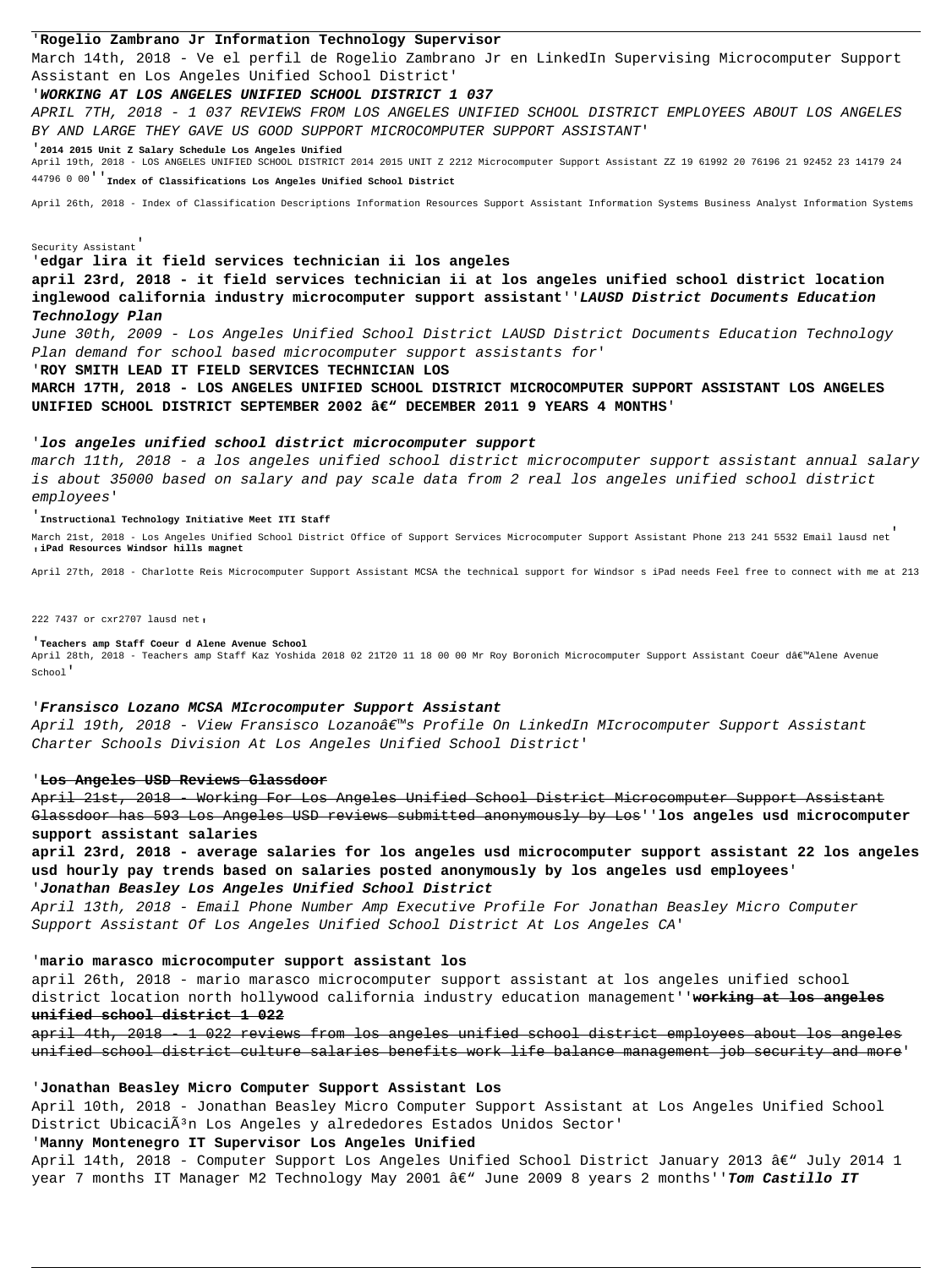### '**Rogelio Zambrano Jr Information Technology Supervisor**

March 14th, 2018 - Ve el perfil de Rogelio Zambrano Jr en LinkedIn Supervising Microcomputer Support Assistant en Los Angeles Unified School District'

### '**WORKING AT LOS ANGELES UNIFIED SCHOOL DISTRICT 1 037**

APRIL 7TH, 2018 - 1 037 REVIEWS FROM LOS ANGELES UNIFIED SCHOOL DISTRICT EMPLOYEES ABOUT LOS ANGELES BY AND LARGE THEY GAVE US GOOD SUPPORT MICROCOMPUTER SUPPORT ASSISTANT'

'**2014 2015 Unit Z Salary Schedule Los Angeles Unified**

April 19th, 2018 - LOS ANGELES UNIFIED SCHOOL DISTRICT 2014 2015 UNIT Z 2212 Microcomputer Support Assistant ZZ 19 61992 20 76196 21 92452 23 14179 24 44796 0 00''**Index of Classifications Los Angeles Unified School District**

**MARCH 17TH, 2018 - LOS ANGELES UNIFIED SCHOOL DISTRICT MICROCOMPUTER SUPPORT ASSISTANT LOS ANGELES** UNIFIED SCHOOL DISTRICT SEPTEMBER 2002 â€<sup>w</sup> DECEMBER 2011 9 YEARS 4 MONTHS'

April 26th, 2018 - Index of Classification Descriptions Information Resources Support Assistant Information Systems Business Analyst Information Systems

Security Assistant'

'**edgar lira it field services technician ii los angeles**

**april 23rd, 2018 - it field services technician ii at los angeles unified school district location inglewood california industry microcomputer support assistant**''**LAUSD District Documents Education Technology Plan**

June 30th, 2009 - Los Angeles Unified School District LAUSD District Documents Education Technology Plan demand for school based microcomputer support assistants for'

April 19th, 2018 - View Fransisco Lozano's Profile On LinkedIn MIcrocomputer Support Assistant Charter Schools Division At Los Angeles Unified School District'

### '**ROY SMITH LEAD IT FIELD SERVICES TECHNICIAN LOS**

### '**los angeles unified school district microcomputer support**

march 11th, 2018 - a los angeles unified school district microcomputer support assistant annual salary is about 35000 based on salary and pay scale data from 2 real los angeles unified school district employees'

### '**Instructional Technology Initiative Meet ITI Staff**

April 10th, 2018 - Jonathan Beasley Micro Computer Support Assistant at Los Angeles Unified School District UbicaciÃ<sup>3</sup>n Los Angeles y alrededores Estados Unidos Sector'

March 21st, 2018 - Los Angeles Unified School District Office of Support Services Microcomputer Support Assistant Phone 213 241 5532 Email lausd net' '**iPad Resources Windsor hills magnet**

April 27th, 2018 - Charlotte Reis Microcomputer Support Assistant MCSA the technical support for Windsor s iPad needs Feel free to connect with me at 213

222 7437 or cxr2707 lausd net,

'**Teachers amp Staff Coeur d Alene Avenue School** April 28th, 2018 - Teachers amp Staff Kaz Yoshida 2018 02 21T20 11 18 00 00 Mr Roy Boronich Microcomputer Support Assistant Coeur d'Alene Avenue School'

### '**Fransisco Lozano MCSA MIcrocomputer Support Assistant**

### '**Los Angeles USD Reviews Glassdoor**

April 21st, 2018 - Working For Los Angeles Unified School District Microcomputer Support Assistant Glassdoor has 593 Los Angeles USD reviews submitted anonymously by Los''**los angeles usd microcomputer support assistant salaries**

**april 23rd, 2018 - average salaries for los angeles usd microcomputer support assistant 22 los angeles usd hourly pay trends based on salaries posted anonymously by los angeles usd employees**' '**Jonathan Beasley Los Angeles Unified School District**

April 13th, 2018 - Email Phone Number Amp Executive Profile For Jonathan Beasley Micro Computer Support Assistant Of Los Angeles Unified School District At Los Angeles CA'

### '**mario marasco microcomputer support assistant los**

april 26th, 2018 - mario marasco microcomputer support assistant at los angeles unified school district location north hollywood california industry education management''**working at los angeles**

### **unified school district 1 022**

april 4th, 2018 - 1 022 reviews from los angeles unified school district employees about los angeles unified school district culture salaries benefits work life balance management job security and more'

### '**Jonathan Beasley Micro Computer Support Assistant Los**

## '**Manny Montenegro IT Supervisor Los Angeles Unified**

April 14th, 2018 - Computer Support Los Angeles Unified School District January 2013 â $\epsilon$ " July 2014 1 year 7 months IT Manager M2 Technology May 2001 â€" June 2009 8 years 2 months''**Tom Castillo IT**